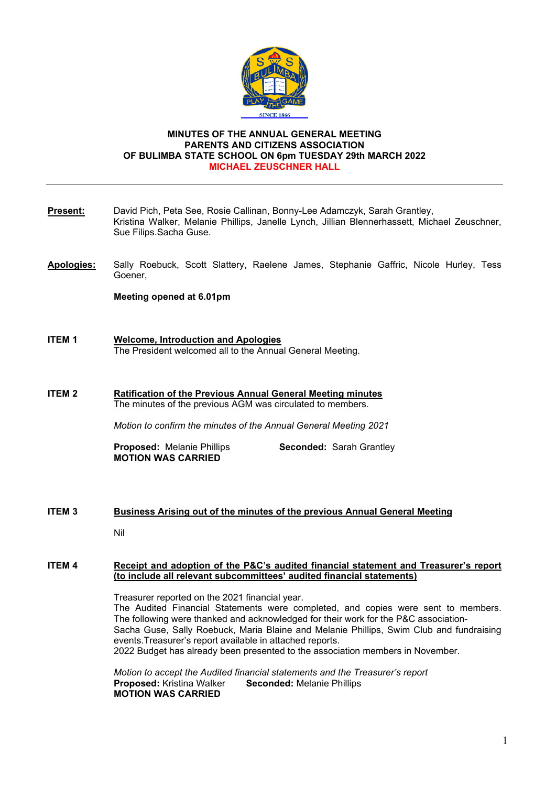

# **MINUTES OF THE ANNUAL GENERAL MEETING PARENTS AND CITIZENS ASSOCIATION OF BULIMBA STATE SCHOOL ON 6pm TUESDAY 29th MARCH 2022 MICHAEL ZEUSCHNER HALL**

| Present:          | David Pich, Peta See, Rosie Callinan, Bonny-Lee Adamczyk, Sarah Grantley,<br>Kristina Walker, Melanie Phillips, Janelle Lynch, Jillian Blennerhassett, Michael Zeuschner,<br>Sue Filips.Sacha Guse.                                                                                                                                                                                                                                                                  |
|-------------------|----------------------------------------------------------------------------------------------------------------------------------------------------------------------------------------------------------------------------------------------------------------------------------------------------------------------------------------------------------------------------------------------------------------------------------------------------------------------|
| <b>Apologies:</b> | Sally Roebuck, Scott Slattery, Raelene James, Stephanie Gaffric, Nicole Hurley, Tess<br>Goener,                                                                                                                                                                                                                                                                                                                                                                      |
|                   | Meeting opened at 6.01pm                                                                                                                                                                                                                                                                                                                                                                                                                                             |
| <b>ITEM1</b>      | <b>Welcome, Introduction and Apologies</b><br>The President welcomed all to the Annual General Meeting.                                                                                                                                                                                                                                                                                                                                                              |
| <b>ITEM2</b>      | <b>Ratification of the Previous Annual General Meeting minutes</b><br>The minutes of the previous AGM was circulated to members.                                                                                                                                                                                                                                                                                                                                     |
|                   | Motion to confirm the minutes of the Annual General Meeting 2021                                                                                                                                                                                                                                                                                                                                                                                                     |
|                   | Seconded: Sarah Grantley<br><b>Proposed: Melanie Phillips</b><br><b>MOTION WAS CARRIED</b>                                                                                                                                                                                                                                                                                                                                                                           |
| <b>ITEM3</b>      | Business Arising out of the minutes of the previous Annual General Meeting<br>Nil                                                                                                                                                                                                                                                                                                                                                                                    |
| <b>ITEM 4</b>     | Receipt and adoption of the P&C's audited financial statement and Treasurer's report<br>(to include all relevant subcommittees' audited financial statements)                                                                                                                                                                                                                                                                                                        |
|                   | Treasurer reported on the 2021 financial year.<br>The Audited Financial Statements were completed, and copies were sent to members.<br>The following were thanked and acknowledged for their work for the P&C association-<br>Sacha Guse, Sally Roebuck, Maria Blaine and Melanie Phillips, Swim Club and fundraising<br>events. Treasurer's report available in attached reports.<br>2022 Budget has already been presented to the association members in November. |
|                   | Motion to accept the Audited financial statements and the Treasurer's report<br>Proposed: Kristina Walker<br><b>Seconded: Melanie Phillips</b><br><b>MOTION WAS CARRIED</b>                                                                                                                                                                                                                                                                                          |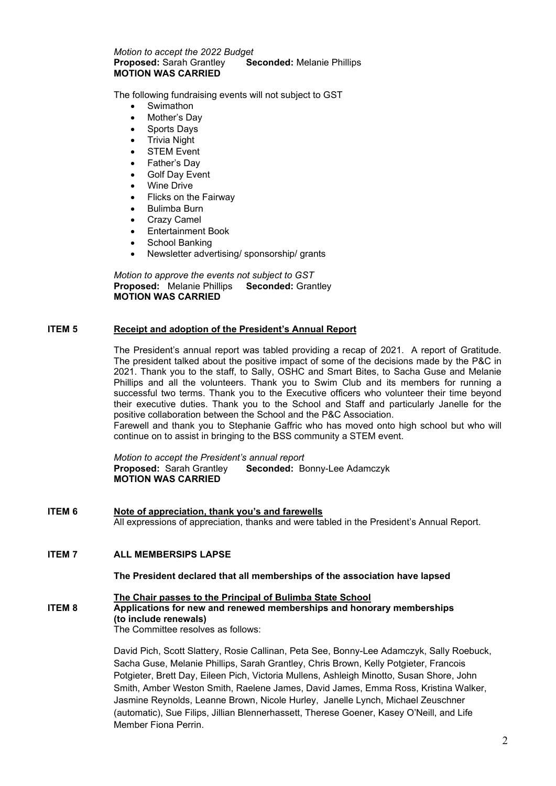## *Motion to accept the 2022 Budget* **Seconded: Melanie Phillips MOTION WAS CARRIED**

The following fundraising events will not subject to GST

- **Swimathon**
- Mother's Day
- Sports Days
- Trivia Night
- **STEM Event**
- Father's Day
- **Golf Day Event**
- Wine Drive
- Flicks on the Fairway
- Bulimba Burn
- **Crazy Camel**
- Entertainment Book
- School Banking
- Newsletter advertising/ sponsorship/ grants

*Motion to approve the events not subject to GST* **Proposed:** Melanie Phillips **MOTION WAS CARRIED**

# **ITEM 5 Receipt and adoption of the President's Annual Report**

The President's annual report was tabled providing a recap of 2021. A report of Gratitude. The president talked about the positive impact of some of the decisions made by the P&C in 2021. Thank you to the staff, to Sally, OSHC and Smart Bites, to Sacha Guse and Melanie Phillips and all the volunteers. Thank you to Swim Club and its members for running a successful two terms. Thank you to the Executive officers who volunteer their time beyond their executive duties. Thank you to the School and Staff and particularly Janelle for the positive collaboration between the School and the P&C Association.

Farewell and thank you to Stephanie Gaffric who has moved onto high school but who will continue on to assist in bringing to the BSS community a STEM event.

*Motion to accept the President's annual report* **Seconded: Bonny-Lee Adamczyk MOTION WAS CARRIED**

**ITEM 6 Note of appreciation, thank you's and farewells** All expressions of appreciation, thanks and were tabled in the President's Annual Report.

# **ITEM 7 ALL MEMBERSIPS LAPSE**

#### **The President declared that all memberships of the association have lapsed**

## **The Chair passes to the Principal of Bulimba State School**

## **ITEM 8** Applications for new and renewed memberships and honorary memberships  **(to include renewals)**

The Committee resolves as follows:

David Pich, Scott Slattery, Rosie Callinan, Peta See, Bonny-Lee Adamczyk, Sally Roebuck, Sacha Guse, Melanie Phillips, Sarah Grantley, Chris Brown, Kelly Potgieter, Francois Potgieter, Brett Day, Eileen Pich, Victoria Mullens, Ashleigh Minotto, Susan Shore, John Smith, Amber Weston Smith, Raelene James, David James, Emma Ross, Kristina Walker, Jasmine Reynolds, Leanne Brown, Nicole Hurley, Janelle Lynch, Michael Zeuschner (automatic), Sue Filips, Jillian Blennerhassett, Therese Goener, Kasey O'Neill, and Life Member Fiona Perrin.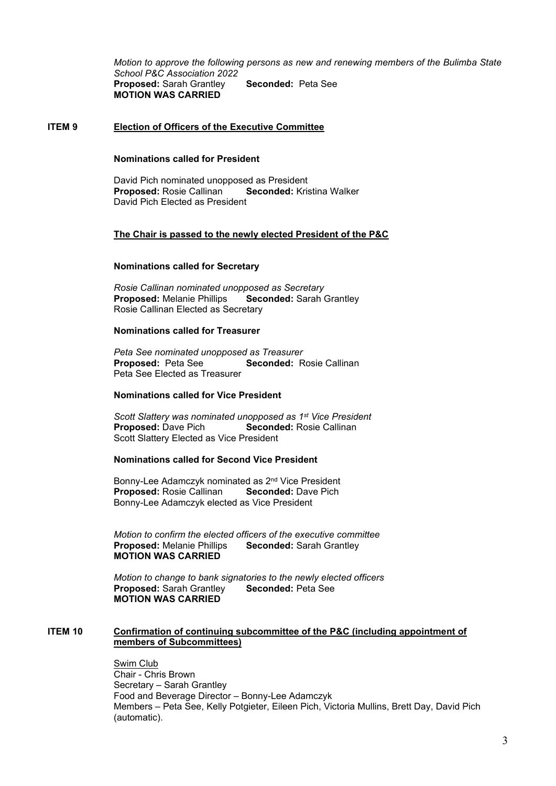*Motion to approve the following persons as new and renewing members of the Bulimba State School P&C Association 2022* **Proposed:** Sarah Grantley **Seconded:** Peta See **MOTION WAS CARRIED**

## **ITEM 9 Election of Officers of the Executive Committee**

# **Nominations called for President**

David Pich nominated unopposed as President<br> **Proposed:** Rosie Callinan **Seconded:** Kristina Walker **Proposed: Rosie Callinan** David Pich Elected as President

## **The Chair is passed to the newly elected President of the P&C**

#### **Nominations called for Secretary**

*Rosie Callinan nominated unopposed as Secretary* **Proposed: Melanie Phillips** Rosie Callinan Elected as Secretary

#### **Nominations called for Treasurer**

*Peta See nominated unopposed as Treasurer* **Seconded: Rosie Callinan Peta See Elected as Treasurer** 

## **Nominations called for Vice President**

*Scott Slattery was nominated unopposed as 1st Vice President* **Seconded:** Rosie Callinan Scott Slattery Elected as Vice President

## **Nominations called for Second Vice President**

Bonny-Lee Adamczyk nominated as 2<sup>nd</sup> Vice President<br>**Proposed:** Rosie Callinan **Seconded:** Dave Pich **Proposed: Rosie Callinan** Bonny-Lee Adamczyk elected as Vice President

*Motion to confirm the elected officers of the executive committee* **Seconded: Sarah Grantley MOTION WAS CARRIED**

*Motion to change to bank signatories to the newly elected officers* **Proposed: Sarah Grantley MOTION WAS CARRIED**

## **ITEM 10 Confirmation of continuing subcommittee of the P&C (including appointment of members of Subcommittees)**

 Swim Club Chair - Chris Brown Secretary – Sarah Grantley Food and Beverage Director – Bonny-Lee Adamczyk Members – Peta See, Kelly Potgieter, Eileen Pich, Victoria Mullins, Brett Day, David Pich (automatic).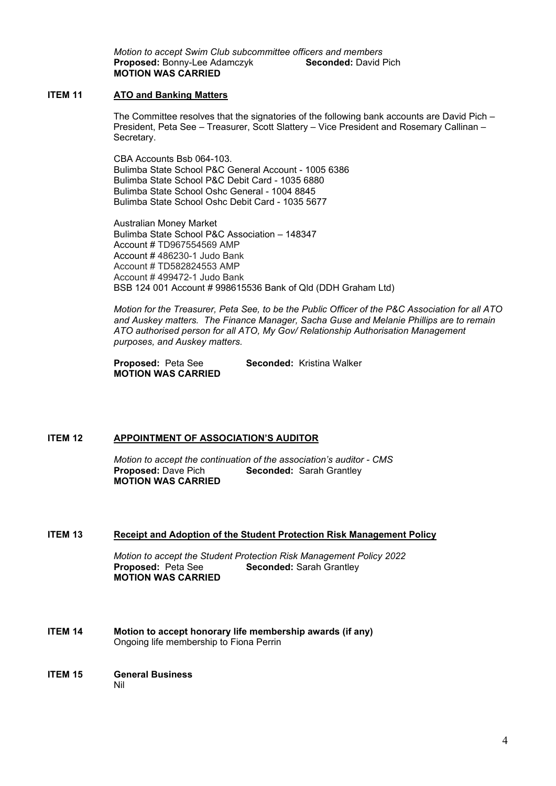*Motion to accept Swim Club subcommittee officers and members* **Proposed: Bonny-Lee Adamczyk MOTION WAS CARRIED**

# **ITEM 11 ATO and Banking Matters**

The Committee resolves that the signatories of the following bank accounts are David Pich – President, Peta See – Treasurer, Scott Slattery – Vice President and Rosemary Callinan – Secretary.

 CBA Accounts Bsb 064-103. Bulimba State School P&C General Account - 1005 6386 Bulimba State School P&C Debit Card - 1035 6880 Bulimba State School Oshc General - 1004 8845 Bulimba State School Oshc Debit Card - 1035 5677

Australian Money Market Bulimba State School P&C Association – 148347 Account # TD967554569 AMP Account # 486230-1 Judo Bank Account # TD582824553 AMP Account # 499472-1 Judo Bank BSB 124 001 Account # 998615536 Bank of Qld (DDH Graham Ltd)

*Motion for the Treasurer, Peta See, to be the Public Officer of the P&C Association for all ATO and Auskey matters. The Finance Manager, Sacha Guse and Melanie Phillips are to remain ATO authorised person for all ATO, My Gov/ Relationship Authorisation Management purposes, and Auskey matters.*

**Proposed:** Peta See **Seconded:** Kristina Walker **MOTION WAS CARRIED** 

# **ITEM 12 APPOINTMENT OF ASSOCIATION'S AUDITOR**

*Motion to accept the continuation of the association's auditor - CMS* **Seconded: Sarah Grantley MOTION WAS CARRIED**

# **ITEM 13 Receipt and Adoption of the Student Protection Risk Management Policy**

*Motion to accept the Student Protection Risk Management Policy 2022*  **Seconded: Sarah Grantley MOTION WAS CARRIED**

- **ITEM 14 Motion to accept honorary life membership awards (if any)** Ongoing life membership to Fiona Perrin
- **ITEM 15 General Business** Nil